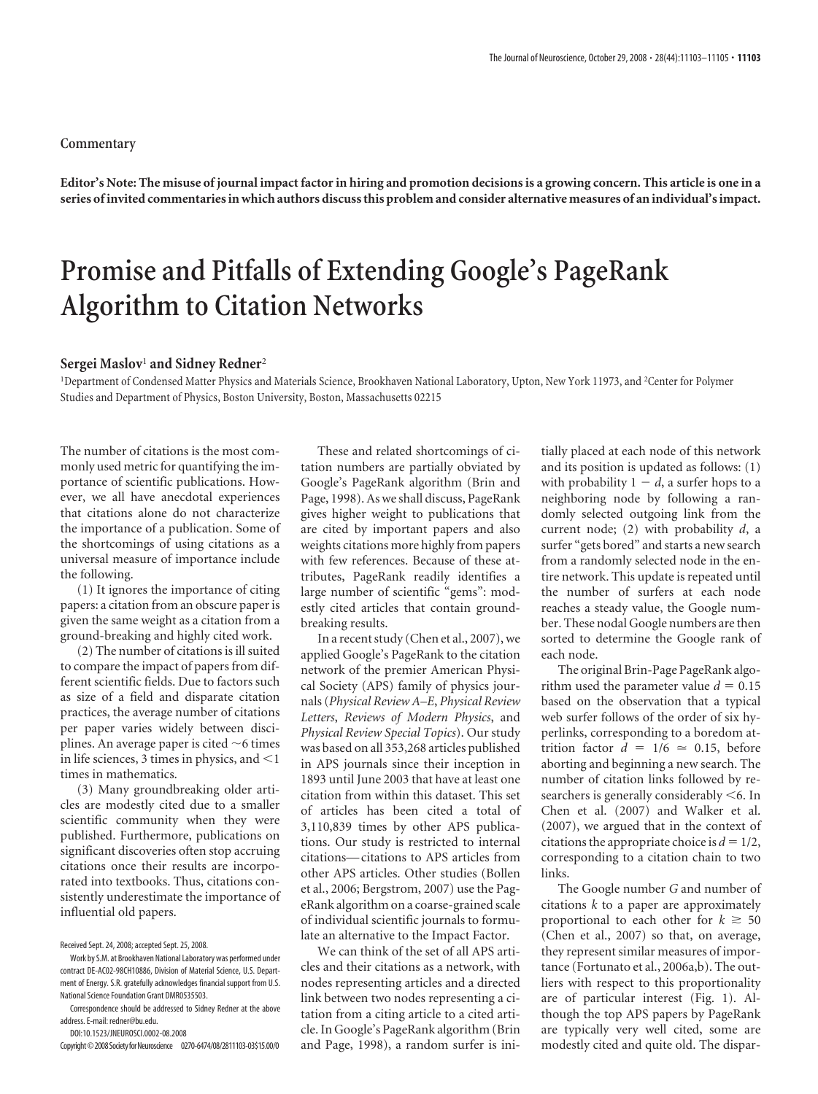**Editor's Note: The misuse of journal impact factor in hiring and promotion decisions is a growing concern. This article is one in a series of invited commentaries in which authors discuss this problem and consider alternative measures of an individual's impact.**

## **Promise and Pitfalls of Extending Google's PageRank Algorithm to Citation Networks**

## **Sergei Maslov**<sup>1</sup> **and Sidney Redner**<sup>2</sup>

<sup>1</sup>Department of Condensed Matter Physics and Materials Science, Brookhaven National Laboratory, Upton, New York 11973, and <sup>2</sup>Center for Polymer Studies and Department of Physics, Boston University, Boston, Massachusetts 02215

The number of citations is the most commonly used metric for quantifying the importance of scientific publications. However, we all have anecdotal experiences that citations alone do not characterize the importance of a publication. Some of the shortcomings of using citations as a universal measure of importance include the following.

(1) It ignores the importance of citing papers: a citation from an obscure paper is given the same weight as a citation from a ground-breaking and highly cited work.

(2) The number of citations is ill suited to compare the impact of papers from different scientific fields. Due to factors such as size of a field and disparate citation practices, the average number of citations per paper varies widely between disciplines. An average paper is cited  $\sim$  6 times in life sciences,  $3$  times in physics, and  $<$  1 times in mathematics.

(3) Many groundbreaking older articles are modestly cited due to a smaller scientific community when they were published. Furthermore, publications on significant discoveries often stop accruing citations once their results are incorporated into textbooks. Thus, citations consistently underestimate the importance of influential old papers.

Work by S.M. at Brookhaven National Laboratory was performed under contract DE-AC02-98CH10886, Division of Material Science, U.S. Department of Energy. S.R. gratefully acknowledges financial support from U.S. National Science Foundation Grant DMR0535503.

These and related shortcomings of citation numbers are partially obviated by Google's PageRank algorithm (Brin and Page, 1998). As we shall discuss, PageRank gives higher weight to publications that are cited by important papers and also weights citations more highly from papers with few references. Because of these attributes, PageRank readily identifies a large number of scientific "gems": modestly cited articles that contain groundbreaking results.

In a recent study (Chen et al., 2007), we applied Google's PageRank to the citation network of the premier American Physical Society (APS) family of physics journals (*Physical Review A–E*, *Physical Review Letters*, *Reviews of Modern Physics*, and *Physical Review Special Topics*). Our study was based on all 353,268 articles published in APS journals since their inception in 1893 until June 2003 that have at least one citation from within this dataset. This set of articles has been cited a total of 3,110,839 times by other APS publications. Our study is restricted to internal citations— citations to APS articles from other APS articles. Other studies (Bollen et al., 2006; Bergstrom, 2007) use the PageRank algorithm on a coarse-grained scale of individual scientific journals to formulate an alternative to the Impact Factor.

We can think of the set of all APS articles and their citations as a network, with nodes representing articles and a directed link between two nodes representing a citation from a citing article to a cited article. In Google's PageRank algorithm (Brin and Page, 1998), a random surfer is ini-

tially placed at each node of this network and its position is updated as follows: (1) with probability  $1 - d$ , a surfer hops to a neighboring node by following a randomly selected outgoing link from the current node; (2) with probability *d*, a surfer "gets bored" and starts a new search from a randomly selected node in the entire network. This update is repeated until the number of surfers at each node reaches a steady value, the Google number. These nodal Google numbers are then sorted to determine the Google rank of each node.

The original Brin-Page PageRank algorithm used the parameter value  $d = 0.15$ based on the observation that a typical web surfer follows of the order of six hyperlinks, corresponding to a boredom attrition factor  $d = 1/6 \approx 0.15$ , before aborting and beginning a new search. The number of citation links followed by researchers is generally considerably <6. In Chen et al. (2007) and Walker et al. (2007), we argued that in the context of citations the appropriate choice is  $d = 1/2$ , corresponding to a citation chain to two links.

The Google number *G* and number of citations *k* to a paper are approximately proportional to each other for  $k \geq 50$ (Chen et al., 2007) so that, on average, they represent similar measures of importance (Fortunato et al., 2006a,b). The outliers with respect to this proportionality are of particular interest (Fig. 1). Although the top APS papers by PageRank are typically very well cited, some are modestly cited and quite old. The dispar-

Received Sept. 24, 2008; accepted Sept. 25, 2008.

Correspondence should be addressed to Sidney Redner at the above address. E-mail: redner@bu.edu.

DOI:10.1523/JNEUROSCI.0002-08.2008

Copyright©2008SocietyforNeuroscience 0270-6474/08/2811103-03\$15.00/0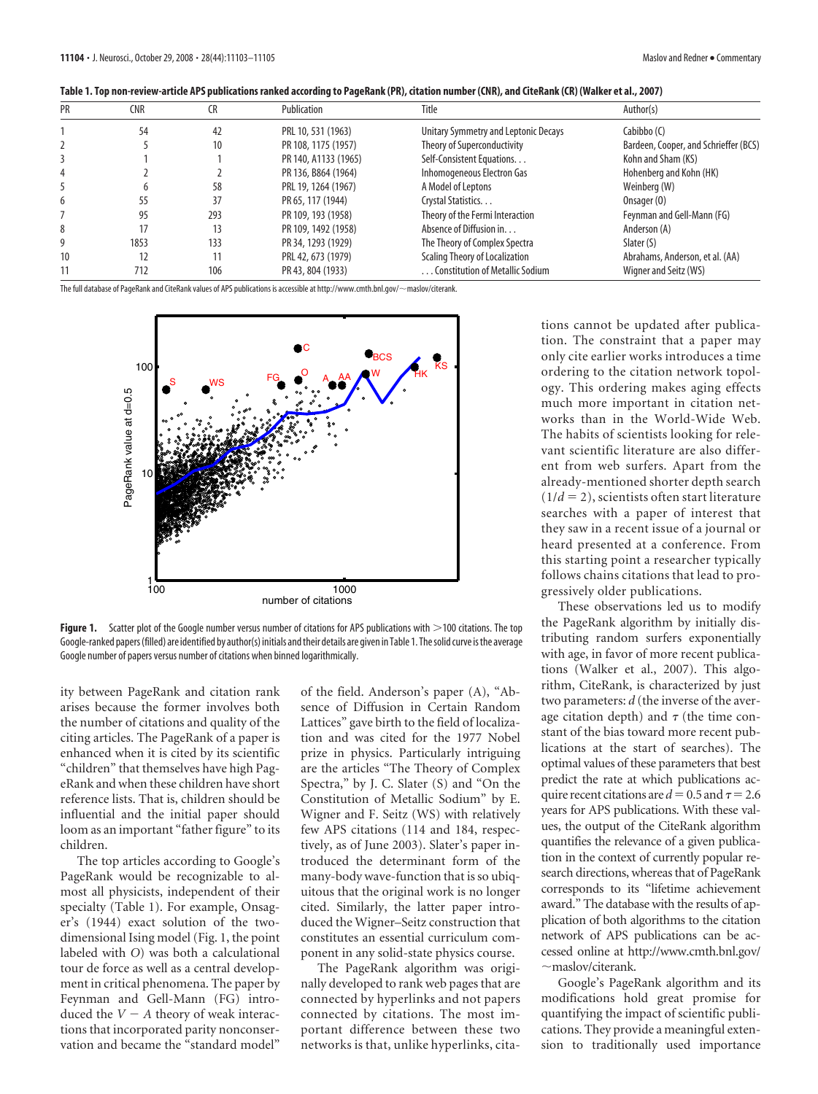|  | Table 1. Top non-review-article APS publications ranked according to PageRank (PR), citation number (CNR), and CiteRank (CR) (Walker et al., 2007) |  |  |
|--|----------------------------------------------------------------------------------------------------------------------------------------------------|--|--|
|  |                                                                                                                                                    |  |  |

| <b>PR</b> | <b>CNR</b> | CR  | <b>Publication</b>   | Title                                       | Author(s)                             |
|-----------|------------|-----|----------------------|---------------------------------------------|---------------------------------------|
|           | 54         | 42  | PRL 10, 531 (1963)   | <b>Unitary Symmetry and Leptonic Decays</b> | Cabibbo (C)                           |
| 2         |            | 10  | PR 108, 1175 (1957)  | Theory of Superconductivity                 | Bardeen, Cooper, and Schrieffer (BCS) |
|           |            |     | PR 140, A1133 (1965) | Self-Consistent Equations.                  | Kohn and Sham (KS)                    |
| 4         |            |     | PR 136, B864 (1964)  | Inhomogeneous Electron Gas                  | Hohenberg and Kohn (HK)               |
|           |            | 58  | PRL 19, 1264 (1967)  | A Model of Leptons                          | Weinberg (W)                          |
| 6         | 55         | 37  | PR 65, 117 (1944)    | Crystal Statistics.                         | Onsager (0)                           |
|           | 95         | 293 | PR 109, 193 (1958)   | Theory of the Fermi Interaction             | Feynman and Gell-Mann (FG)            |
| 8         | 17         | 13  | PR 109, 1492 (1958)  | Absence of Diffusion in                     | Anderson (A)                          |
| 9         | 1853       | 133 | PR 34, 1293 (1929)   | The Theory of Complex Spectra               | Slater (S)                            |
| 10        | 12         |     | PRL 42, 673 (1979)   | <b>Scaling Theory of Localization</b>       | Abrahams, Anderson, et al. (AA)       |
| 11        | 712        | 106 | PR 43, 804 (1933)    | Constitution of Metallic Sodium             | Wigner and Seitz (WS)                 |

The full database of PageRank and CiteRank values of APS publications is accessible at http://www.cmth.bnl.gov/ $\sim$ maslov/citerank.



**Figure 1.** Scatter plot of the Google number versus number of citations for APS publications with  $>$  100 citations. The top Google-ranked papers (filled) are identified by author(s) initials and their details are given in Table 1. The solid curve is the average Google number of papers versus number of citations when binned logarithmically.

ity between PageRank and citation rank arises because the former involves both the number of citations and quality of the citing articles. The PageRank of a paper is enhanced when it is cited by its scientific "children" that themselves have high PageRank and when these children have short reference lists. That is, children should be influential and the initial paper should loom as an important "father figure" to its children.

The top articles according to Google's PageRank would be recognizable to almost all physicists, independent of their specialty (Table 1). For example, Onsager's (1944) exact solution of the twodimensional Ising model (Fig. 1, the point labeled with *O*) was both a calculational tour de force as well as a central development in critical phenomena. The paper by Feynman and Gell-Mann (FG) introduced the  $V - A$  theory of weak interactions that incorporated parity nonconservation and became the "standard model"

of the field. Anderson's paper (A), "Absence of Diffusion in Certain Random Lattices" gave birth to the field of localization and was cited for the 1977 Nobel prize in physics. Particularly intriguing are the articles "The Theory of Complex Spectra," by J. C. Slater (S) and "On the Constitution of Metallic Sodium" by E. Wigner and F. Seitz (WS) with relatively few APS citations (114 and 184, respectively, as of June 2003). Slater's paper introduced the determinant form of the many-body wave-function that is so ubiquitous that the original work is no longer cited. Similarly, the latter paper introduced the Wigner–Seitz construction that constitutes an essential curriculum component in any solid-state physics course.

The PageRank algorithm was originally developed to rank web pages that are connected by hyperlinks and not papers connected by citations. The most important difference between these two networks is that, unlike hyperlinks, citations cannot be updated after publication. The constraint that a paper may only cite earlier works introduces a time ordering to the citation network topology. This ordering makes aging effects much more important in citation networks than in the World-Wide Web. The habits of scientists looking for relevant scientific literature are also different from web surfers. Apart from the already-mentioned shorter depth search  $(1/d = 2)$ , scientists often start literature searches with a paper of interest that they saw in a recent issue of a journal or heard presented at a conference. From this starting point a researcher typically follows chains citations that lead to progressively older publications.

These observations led us to modify the PageRank algorithm by initially distributing random surfers exponentially with age, in favor of more recent publications (Walker et al., 2007). This algorithm, CiteRank, is characterized by just two parameters: *d* (the inverse of the average citation depth) and  $\tau$  (the time constant of the bias toward more recent publications at the start of searches). The optimal values of these parameters that best predict the rate at which publications acquire recent citations are  $d = 0.5$  and  $\tau = 2.6$ years for APS publications. With these values, the output of the CiteRank algorithm quantifies the relevance of a given publication in the context of currently popular research directions, whereas that of PageRank corresponds to its "lifetime achievement award." The database with the results of application of both algorithms to the citation network of APS publications can be accessed online at http://www.cmth.bnl.gov/  $\sim$ maslov/citerank.

Google's PageRank algorithm and its modifications hold great promise for quantifying the impact of scientific publications. They provide a meaningful extension to traditionally used importance